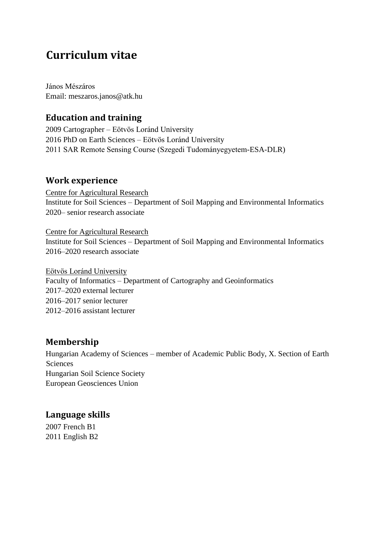# **Curriculum vitae**

János Mészáros Email: meszaros.janos@atk.hu

## **Education and training**

2009 Cartographer – Eötvös Loránd University 2016 PhD on Earth Sciences – Eötvös Loránd University 2011 SAR Remote Sensing Course (Szegedi Tudományegyetem-ESA-DLR)

#### **Work experience**

Centre for Agricultural Research Institute for Soil Sciences – Department of Soil Mapping and Environmental Informatics 2020– senior research associate

Centre for Agricultural Research Institute for Soil Sciences – Department of Soil Mapping and Environmental Informatics 2016–2020 research associate

Eötvös Loránd University Faculty of Informatics – Department of Cartography and Geoinformatics 2017–2020 external lecturer 2016–2017 senior lecturer 2012–2016 assistant lecturer

#### **Membership**

Hungarian Academy of Sciences – member of Academic Public Body, X. Section of Earth Sciences Hungarian Soil Science Society European Geosciences Union

#### **Language skills**

2007 French B1 2011 English B2